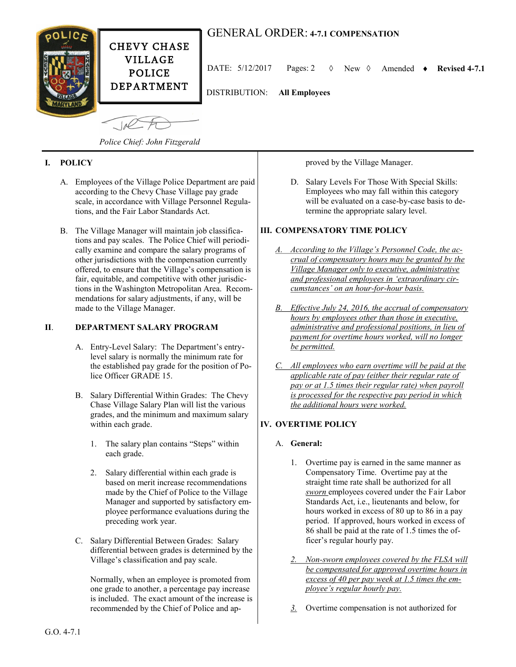

# GENERAL ORDER: **4-7.1 COMPENSATION**

DATE:  $5/12/2017$  Pages: 2  $\Diamond$  New  $\Diamond$  Amended  $\bullet$  Revised 4-7.1

DISTRIBUTION: **All Employees**

 $-100$ 

*Police Chief: John Fitzgerald*

## **I. POLICY**

- A. Employees of the Village Police Department are paid according to the Chevy Chase Village pay grade scale, in accordance with Village Personnel Regulations, and the Fair Labor Standards Act.
- B. The Village Manager will maintain job classifications and pay scales. The Police Chief will periodically examine and compare the salary programs of other jurisdictions with the compensation currently offered, to ensure that the Village's compensation is fair, equitable, and competitive with other jurisdictions in the Washington Metropolitan Area. Recommendations for salary adjustments, if any, will be made to the Village Manager.

### **II**. **DEPARTMENT SALARY PROGRAM**

- A. Entry-Level Salary: The Department's entrylevel salary is normally the minimum rate for the established pay grade for the position of Police Officer GRADE 15.
- B. Salary Differential Within Grades: The Chevy Chase Village Salary Plan will list the various grades, and the minimum and maximum salary within each grade.
	- 1. The salary plan contains "Steps" within each grade.
	- 2. Salary differential within each grade is based on merit increase recommendations made by the Chief of Police to the Village Manager and supported by satisfactory employee performance evaluations during the preceding work year.
- C. Salary Differential Between Grades: Salary differential between grades is determined by the Village's classification and pay scale.

Normally, when an employee is promoted from one grade to another, a percentage pay increase is included. The exact amount of the increase is recommended by the Chief of Police and approved by the Village Manager.

D. Salary Levels For Those With Special Skills: Employees who may fall within this category will be evaluated on a case-by-case basis to determine the appropriate salary level.

### **III. COMPENSATORY TIME POLICY**

- *A. According to the Village's Personnel Code, the accrual of compensatory hours may be granted by the Village Manager only to executive, administrative and professional employees in 'extraordinary circumstances' on an hour-for-hour basis.*
- *B. Effective July 24, 2016, the accrual of compensatory hours by employees other than those in executive, administrative and professional positions, in lieu of payment for overtime hours worked, will no longer be permitted.*
- *C. All employees who earn overtime will be paid at the applicable rate of pay (either their regular rate of pay or at 1.5 times their regular rate) when payroll is processed for the respective pay period in which the additional hours were worked.*

## **IV. OVERTIME POLICY**

## A. **General:**

- 1. Overtime pay is earned in the same manner as Compensatory Time. Overtime pay at the straight time rate shall be authorized for all *sworn* employees covered under the Fair Labor Standards Act, i.e., lieutenants and below, for hours worked in excess of 80 up to 86 in a pay period. If approved, hours worked in excess of 86 shall be paid at the rate of 1.5 times the officer's regular hourly pay.
- *2. Non-sworn employees covered by the FLSA will be compensated for approved overtime hours in excess of 40 per pay week at 1.5 times the employee's regular hourly pay.*
- *3.* Overtime compensation is not authorized for